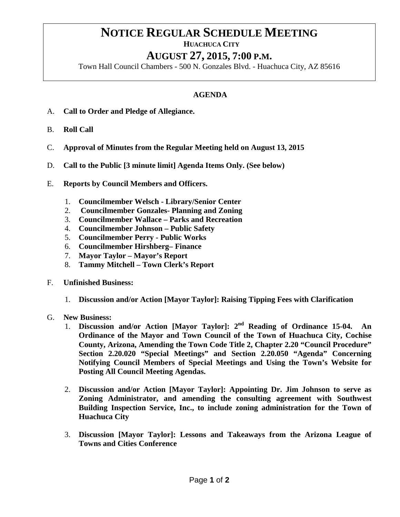## **NOTICE REGULAR SCHEDULE MEETING**<br>HUACHUCA CITY

## **AUGUST 27, 2015, 7:00 P.M.**

Town Hall Council Chambers - 500 N. Gonzales Blvd. - Huachuca City, AZ 85616

## **AGENDA**

- A. **Call to Order and Pledge of Allegiance.**
- B. **Roll Call**
- C. **Approval of Minutes from the Regular Meeting held on August 13, 2015**
- D. **Call to the Public [3 minute limit] Agenda Items Only. (See below)**
- E. **Reports by Council Members and Officers.**
	- 1. **Councilmember Welsch - Library/Senior Center**
	- 2. **Councilmember Gonzales- Planning and Zoning**
	- 3. **Councilmember Wallace – Parks and Recreation**
	- 4. **Councilmember Johnson – Public Safety**
	- 5. **Councilmember Perry - Public Works**
	- 6. **Councilmember Hirshberg– Finance**
	- 7. **Mayor Taylor – Mayor's Report**
	- 8. **Tammy Mitchell – Town Clerk's Report**
- F. **Unfinished Business:** 
	- 1. **Discussion and/or Action [Mayor Taylor]: Raising Tipping Fees with Clarification**
- G. **New Business:**
	- 1. **Discussion and/or Action [Mayor Taylor]: 2nd Reading of Ordinance 15-04. An Ordinance of the Mayor and Town Council of the Town of Huachuca City, Cochise County, Arizona, Amending the Town Code Title 2, Chapter 2.20 "Council Procedure" Section 2.20.020 "Special Meetings" and Section 2.20.050 "Agenda" Concerning Notifying Council Members of Special Meetings and Using the Town's Website for Posting All Council Meeting Agendas.**
	- 2. **Discussion and/or Action [Mayor Taylor]: Appointing Dr. Jim Johnson to serve as Zoning Administrator, and amending the consulting agreement with Southwest Building Inspection Service, Inc., to include zoning administration for the Town of Huachuca City**
	- 3. **Discussion [Mayor Taylor]: Lessons and Takeaways from the Arizona League of Towns and Cities Conference**